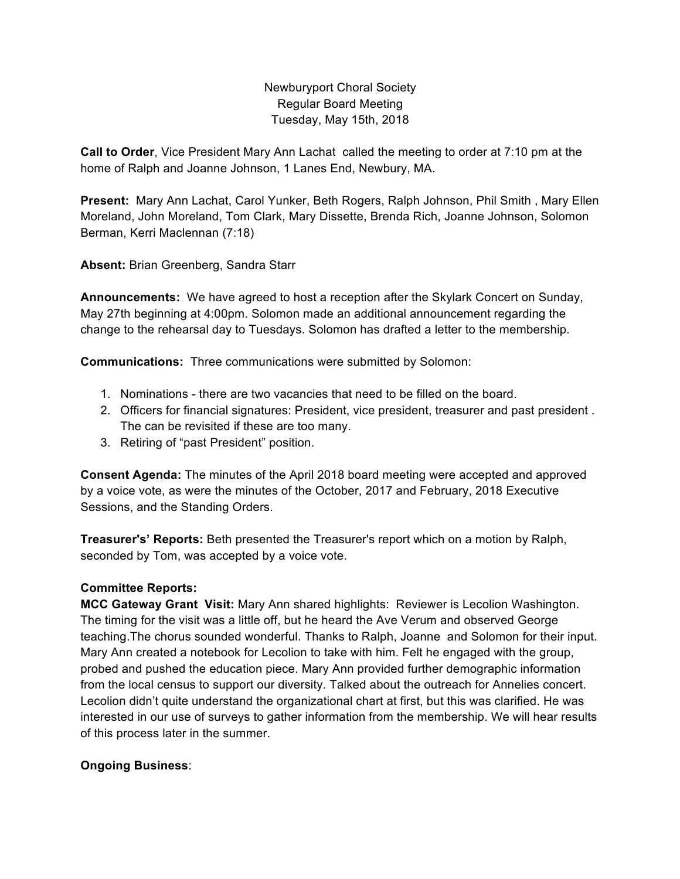Newburyport Choral Society Regular Board Meeting Tuesday, May 15th, 2018

**Call to Order**, Vice President Mary Ann Lachat called the meeting to order at 7:10 pm at the home of Ralph and Joanne Johnson, 1 Lanes End, Newbury, MA.

**Present:** Mary Ann Lachat, Carol Yunker, Beth Rogers, Ralph Johnson, Phil Smith , Mary Ellen Moreland, John Moreland, Tom Clark, Mary Dissette, Brenda Rich, Joanne Johnson, Solomon Berman, Kerri Maclennan (7:18)

**Absent:** Brian Greenberg, Sandra Starr

**Announcements:** We have agreed to host a reception after the Skylark Concert on Sunday, May 27th beginning at 4:00pm. Solomon made an additional announcement regarding the change to the rehearsal day to Tuesdays. Solomon has drafted a letter to the membership.

**Communications:** Three communications were submitted by Solomon:

- 1. Nominations there are two vacancies that need to be filled on the board.
- 2. Officers for financial signatures: President, vice president, treasurer and past president . The can be revisited if these are too many.
- 3. Retiring of "past President" position.

**Consent Agenda:** The minutes of the April 2018 board meeting were accepted and approved by a voice vote, as were the minutes of the October, 2017 and February, 2018 Executive Sessions, and the Standing Orders.

**Treasurer's' Reports:** Beth presented the Treasurer's report which on a motion by Ralph, seconded by Tom, was accepted by a voice vote.

## **Committee Reports:**

**MCC Gateway Grant Visit:** Mary Ann shared highlights: Reviewer is Lecolion Washington. The timing for the visit was a little off, but he heard the Ave Verum and observed George teaching.The chorus sounded wonderful. Thanks to Ralph, Joanne and Solomon for their input. Mary Ann created a notebook for Lecolion to take with him. Felt he engaged with the group, probed and pushed the education piece. Mary Ann provided further demographic information from the local census to support our diversity. Talked about the outreach for Annelies concert. Lecolion didn't quite understand the organizational chart at first, but this was clarified. He was interested in our use of surveys to gather information from the membership. We will hear results of this process later in the summer.

## **Ongoing Business**: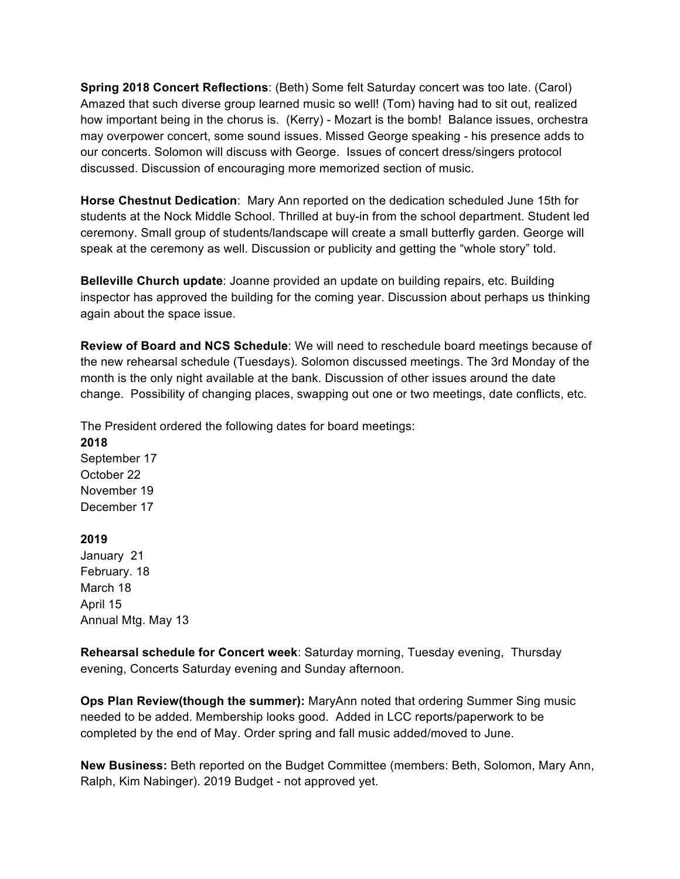**Spring 2018 Concert Reflections**: (Beth) Some felt Saturday concert was too late. (Carol) Amazed that such diverse group learned music so well! (Tom) having had to sit out, realized how important being in the chorus is. (Kerry) - Mozart is the bomb! Balance issues, orchestra may overpower concert, some sound issues. Missed George speaking - his presence adds to our concerts. Solomon will discuss with George. Issues of concert dress/singers protocol discussed. Discussion of encouraging more memorized section of music.

**Horse Chestnut Dedication**: Mary Ann reported on the dedication scheduled June 15th for students at the Nock Middle School. Thrilled at buy-in from the school department. Student led ceremony. Small group of students/landscape will create a small butterfly garden. George will speak at the ceremony as well. Discussion or publicity and getting the "whole story" told.

**Belleville Church update**: Joanne provided an update on building repairs, etc. Building inspector has approved the building for the coming year. Discussion about perhaps us thinking again about the space issue.

**Review of Board and NCS Schedule**: We will need to reschedule board meetings because of the new rehearsal schedule (Tuesdays). Solomon discussed meetings. The 3rd Monday of the month is the only night available at the bank. Discussion of other issues around the date change. Possibility of changing places, swapping out one or two meetings, date conflicts, etc.

The President ordered the following dates for board meetings:

**2018**  September 17 October 22 November 19 December 17

## **2019**

January 21 February. 18 March 18 April 15 Annual Mtg. May 13

**Rehearsal schedule for Concert week**: Saturday morning, Tuesday evening, Thursday evening, Concerts Saturday evening and Sunday afternoon.

**Ops Plan Review(though the summer):** MaryAnn noted that ordering Summer Sing music needed to be added. Membership looks good. Added in LCC reports/paperwork to be completed by the end of May. Order spring and fall music added/moved to June.

**New Business:** Beth reported on the Budget Committee (members: Beth, Solomon, Mary Ann, Ralph, Kim Nabinger). 2019 Budget - not approved yet.